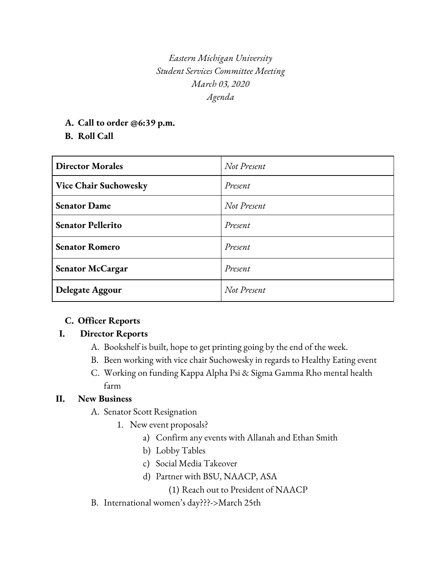*Eastern Michigan University Student Services Committee Meeting March 03, 2020 Agenda*

**A. Call to order @6:39 p.m.**

## **B. Roll Call**

| <b>Director Morales</b>  | Not Present |
|--------------------------|-------------|
| Vice Chair Suchowesky    | Present     |
| <b>Senator Dame</b>      | Not Present |
| <b>Senator Pellerito</b> | Present     |
| <b>Senator Romero</b>    | Present     |
| <b>Senator McCargar</b>  | Present     |
| Delegate Aggour          | Not Present |

### **C. Officer Reports**

### **I. Director Reports**

- A. Bookshelf is built, hope to get printing going by the end of the week.
- B. Been working with vice chair Suchowesky in regards to Healthy Eating event
- C. Working on funding Kappa Alpha Psi & Sigma Gamma Rho mental health farm

### **II. New Business**

- A. Senator Scott Resignation
	- 1. New event proposals?
		- a) Confirm any events with Allanah and Ethan Smith
		- b) Lobby Tables
		- c) Social Media Takeover
		- d) Partner with BSU, NAACP, ASA
			- (1) Reach out to President of NAACP
- B. International women's day???->March 25th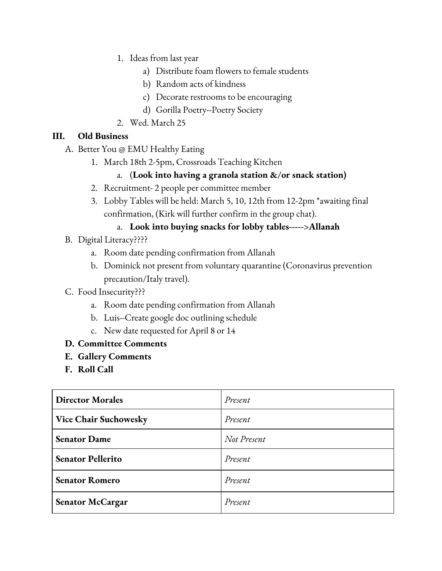- 1. Ideas from last year
	- a) Distribute foam flowers to female students
	- b) Random acts of kindness
	- c) Decorate restrooms to be encouraging
	- d) Gorilla Poetry--Poetry Society
- 2. Wed. March 25

# **III. Old Business**

- A. Better You @ EMU Healthy Eating
	- 1. March 18th 2-5pm, Crossroads Teaching Kitchen
		- a. (**Look into having a granola station &/or snack station)**
	- 2. Recruitment- 2 people per committee member
	- 3. Lobby Tables will be held: March 5, 10, 12th from 12-2pm \*awaiting final confirmation, (Kirk will further confirm in the group chat).
		- a. **Look into buying snacks for lobby tables----->Allanah**
- B. Digital Literacy????
	- a. Room date pending confirmation from Allanah
	- b. Dominick not present from voluntary quarantine (Coronavirus prevention precaution/Italy travel).
- C. Food Insecurity???
	- a. Room date pending confirmation from Allanah
	- b. Luis--Create google doc outlining schedule
	- c. New date requested for April 8 or 14
- **D. Committee Comments**
- **E. Gallery Comments**
- **F. Roll Call**

| <b>Director Morales</b>      | Present     |
|------------------------------|-------------|
| <b>Vice Chair Suchowesky</b> | Present     |
| <b>Senator Dame</b>          | Not Present |
| <b>Senator Pellerito</b>     | Present     |
| <b>Senator Romero</b>        | Present     |
| <b>Senator McCargar</b>      | Present     |